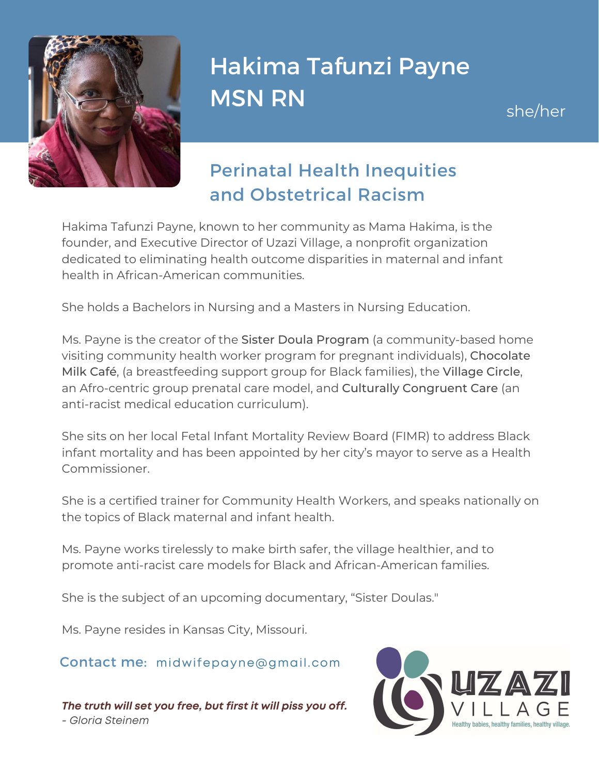

## Hakima Tafunzi Payne MSN RN

she/her

## Perinatal Health Inequities and Obstetrical Racism

Hakima Tafunzi Payne, known to her community as Mama Hakima, is the founder, and Executive Director of Uzazi Village, a nonprofit organization dedicated to eliminating health outcome disparities in maternal and infant health in African-American communities.

She holds a Bachelors in Nursing and a Masters in Nursing Education.

Ms. Payne is the creator of the Sister Doula Program (a community-based home visiting community health worker program for pregnant individuals), Chocolate Milk Café, (a breastfeeding support group for Black families), the Village Circle, an Afro-centric group prenatal care model, and Culturally Congruent Care (an anti-racist medical education curriculum).

She sits on her local Fetal Infant Mortality Review Board (FIMR) to address Black infant mortality and has been appointed by her city's mayor to serve as a Health Commissioner.

She is a certified trainer for Community Health Workers, and speaks nationally on the topics of Black maternal and infant health.

Ms. Payne works tirelessly to make birth safer, the village healthier, and to promote anti-racist care models for Black and African-American families.

She is the subject of an upcoming documentary, "Sister Doulas."

Ms. Payne resides in Kansas City, Missouri.

## Contact me: midwifepayne@gmail.com

*The truth will set you free, but first it will piss you off. - Gloria Steinem*